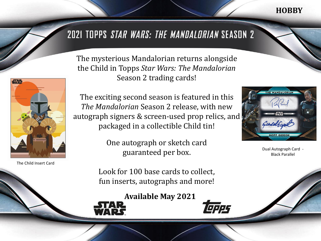## **HOBBY**

# 2021 TOPPS STAR WARS: THE MANDALDRIAN SEASON 2

**STAR** 

The Child Insert Card

The mysterious Mandalorian returns alongside the Child in Topps *Star Wars: The Mandalorian*  Season 2 trading cards!

The exciting second season is featured in this *The Mandalorian* Season 2 release, with new autograph signers & screen-used prop relics, and packaged in a collectible Child tin!

> One autograph or sketch card guaranteed per box.

Look for 100 base cards to collect, fun inserts, autographs and more!

**Available May 2021**







Dual Autograph Card - Black Parallel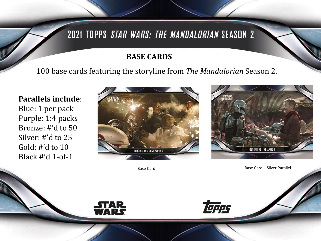# 2021 TOPPS STAR WARS: THE MANDALDRIAN SEASON 2

### **BASE CARDS**

100 base cards featuring the storyline from *The Mandalorian* Season 2.

**Parallels include**: Blue: 1 per pack Purple: 1:4 packs Bronze: #'d to 50 Silver: #'d to 25 Gold: #'d to 10 Black #'d 1-of-1





Base Card **Base Card – Silver Parallel** 



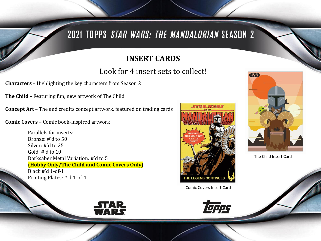# 2021 TOPPS STAR WARS: THE MANDALORIAN SEASON 2

## **INSERT CARDS**

## Look for 4 insert sets to collect!

**Characters** – Highlighting the key characters from Season 2

**The Child** – Featuring fun, new artwork of The Child

**Concept Art** – The end credits concept artwork, featured on trading cards

**Comic Covers** – Comic book-inspired artwork

Parallels for inserts: Bronze: #'d to 50 Silver: #'d to 25 Gold: #'d to 10 Darksaber Metal Variation: #'d to 5 **(Hobby Only/The Child and Comic Covers Only**) Black #'d 1-of-1 Printing Plates: #'d 1-of-1



Comic Covers Insert Card





The Child Insert Card

STAR<br>WARS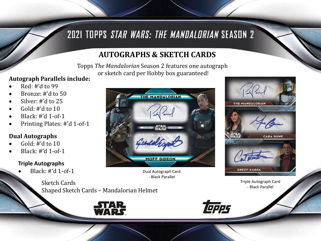# 2021 TOPPS STAR WARS: THE MANDALORIAN SEASON 2

## **AUTOGRAPHS & SKETCH CARDS**

Topps *The Mandalorian* Season 2 features one autograph or sketch card per Hobby box guaranteed!

### **Autograph Parallels include:**

- Red: #'d to 99
- Bronze: #'d to 50
- Silver: #'d to 25
- Gold: #'d to 10
- Black: #'d 1-of-1
- Printing Plates: #'d 1-of-1

### **Dual Autographs**

- Gold:  $\#$ 'd to 10
- Black: #'d 1-of-1

#### **Triple Autographs**

• Black: #'d 1-of-1



Dual Autograph Card - Black Parallel



Triple Autograph Card - Black Parallel

Sketch Cards Shaped Sketch Cards – Mandalorian Helmet